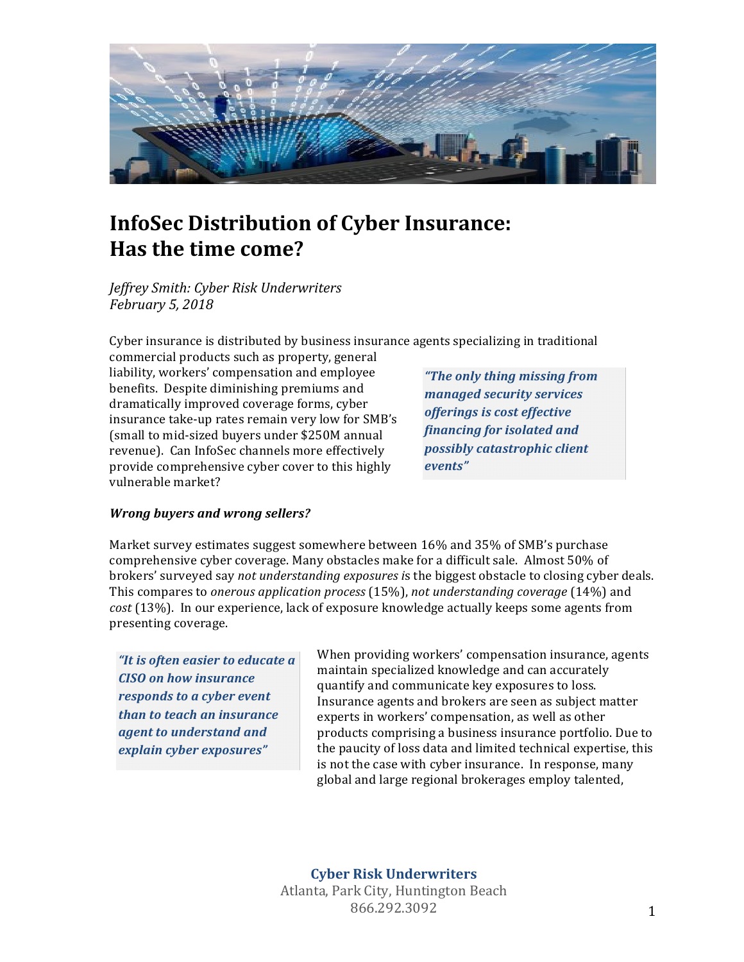

# **InfoSec Distribution of Cyber Insurance: Has the time come?**

*Jeffrey Smith: Cyber Risk Underwriters February 5, 2018*

Cyber insurance is distributed by business insurance agents specializing in traditional

commercial products such as property, general liability, workers' compensation and employee benefits. Despite diminishing premiums and dramatically improved coverage forms, cyber insurance take-up rates remain very low for SMB's (small to mid-sized buyers under \$250M annual revenue). Can InfoSec channels more effectively provide comprehensive cyber cover to this highly vulnerable market?

*"The only thing missing from managed security services offerings is cost effective financing for isolated and possibly catastrophic client events"*

## *Wrong buyers and wrong sellers?*

Market survey estimates suggest somewhere between 16% and 35% of SMB's purchase comprehensive cyber coverage. Many obstacles make for a difficult sale. Almost 50% of brokers' surveyed say *not understanding exposures* is the biggest obstacle to closing cyber deals. This compares to *onerous application process* (15%), *not understanding coverage* (14%) and cost (13%). In our experience, lack of exposure knowledge actually keeps some agents from presenting coverage. 

*"It is often easier to educate a CISO* on how insurance *responds to a cyber event than* to teach an insurance *agent to understand and explain cyber exposures"*

When providing workers' compensation insurance, agents maintain specialized knowledge and can accurately quantify and communicate key exposures to loss. Insurance agents and brokers are seen as subject matter experts in workers' compensation, as well as other products comprising a business insurance portfolio. Due to the paucity of loss data and limited technical expertise, this is not the case with cyber insurance. In response, many global and large regional brokerages employ talented,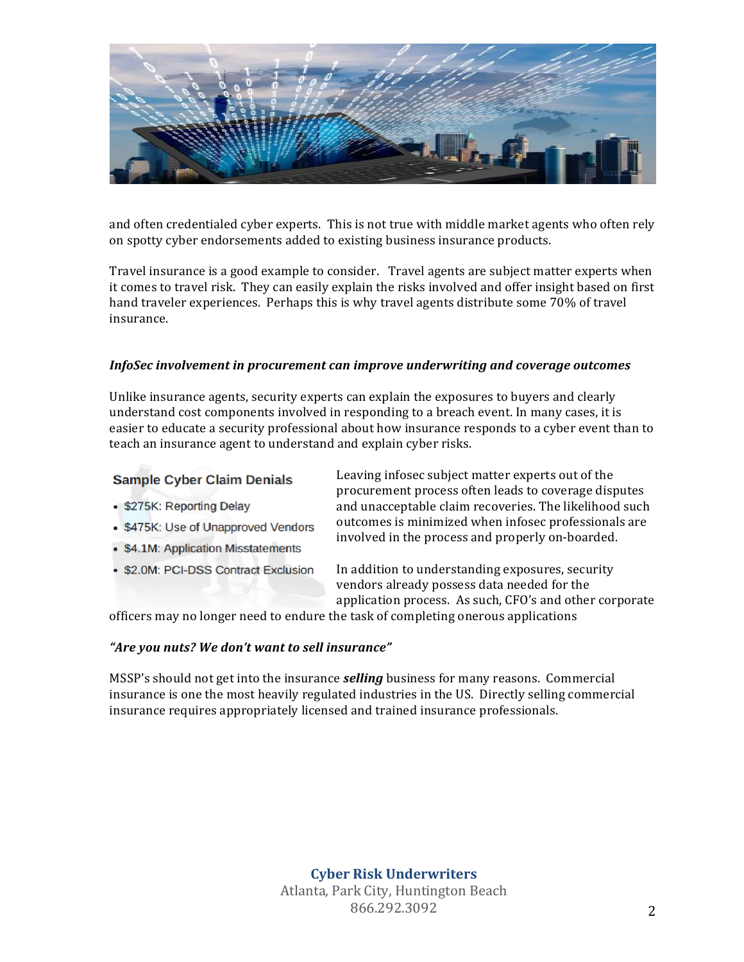

and often credentialed cyber experts. This is not true with middle market agents who often rely on spotty cyber endorsements added to existing business insurance products.

Travel insurance is a good example to consider. Travel agents are subject matter experts when it comes to travel risk. They can easily explain the risks involved and offer insight based on first hand traveler experiences. Perhaps this is why travel agents distribute some 70% of travel insurance.

### *InfoSec* involvement in procurement can improve underwriting and coverage outcomes

Unlike insurance agents, security experts can explain the exposures to buyers and clearly understand cost components involved in responding to a breach event. In many cases, it is easier to educate a security professional about how insurance responds to a cyber event than to teach an insurance agent to understand and explain cyber risks.

## **Sample Cyber Claim Denials**

- \$275K: Reporting Delay
- \$475K: Use of Unapproved Vendors
- \$4.1M: Application Misstatements
- \$2.0M: PCI-DSS Contract Exclusion

Leaving infosec subject matter experts out of the procurement process often leads to coverage disputes and unacceptable claim recoveries. The likelihood such outcomes is minimized when infosec professionals are involved in the process and properly on-boarded.

In addition to understanding exposures, security vendors already possess data needed for the application process. As such, CFO's and other corporate

officers may no longer need to endure the task of completing onerous applications

#### "Are you nuts? We don't want to sell insurance"

MSSP's should not get into the insurance *selling* business for many reasons. Commercial insurance is one the most heavily regulated industries in the US. Directly selling commercial insurance requires appropriately licensed and trained insurance professionals.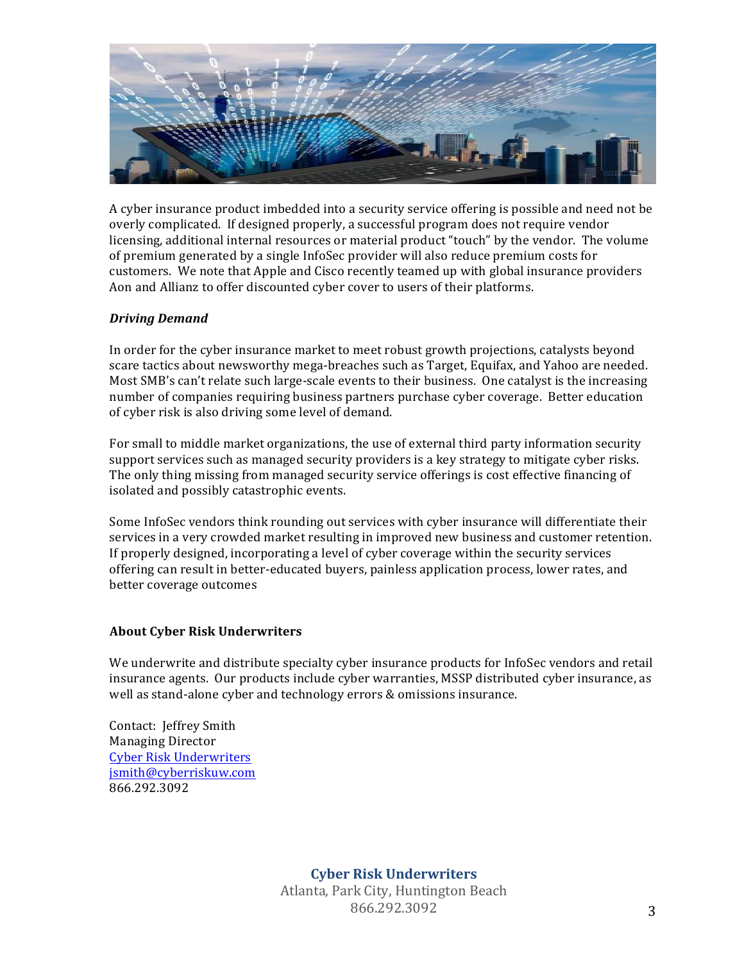

A cyber insurance product imbedded into a security service offering is possible and need not be overly complicated. If designed properly, a successful program does not require vendor licensing, additional internal resources or material product "touch" by the vendor. The volume of premium generated by a single InfoSec provider will also reduce premium costs for customers. We note that Apple and Cisco recently teamed up with global insurance providers Aon and Allianz to offer discounted cyber cover to users of their platforms.

## *Driving Demand*

In order for the cyber insurance market to meet robust growth projections, catalysts beyond scare tactics about newsworthy mega-breaches such as Target, Equifax, and Yahoo are needed. Most SMB's can't relate such large-scale events to their business. One catalyst is the increasing number of companies requiring business partners purchase cyber coverage. Better education of cyber risk is also driving some level of demand.

For small to middle market organizations, the use of external third party information security support services such as managed security providers is a key strategy to mitigate cyber risks. The only thing missing from managed security service offerings is cost effective financing of isolated and possibly catastrophic events.

Some InfoSec vendors think rounding out services with cyber insurance will differentiate their services in a very crowded market resulting in improved new business and customer retention. If properly designed, incorporating a level of cyber coverage within the security services offering can result in better-educated buyers, painless application process, lower rates, and better coverage outcomes

## **About Cyber Risk Underwriters**

We underwrite and distribute specialty cyber insurance products for InfoSec vendors and retail insurance agents. Our products include cyber warranties, MSSP distributed cyber insurance, as well as stand-alone cyber and technology errors & omissions insurance.

Contact: Jeffrey Smith Managing Director **Cyber Risk Underwriters** [jsmith@cyberriskuw.com](mailto:jsmith@cyberriskuw.com) 866.292.3092